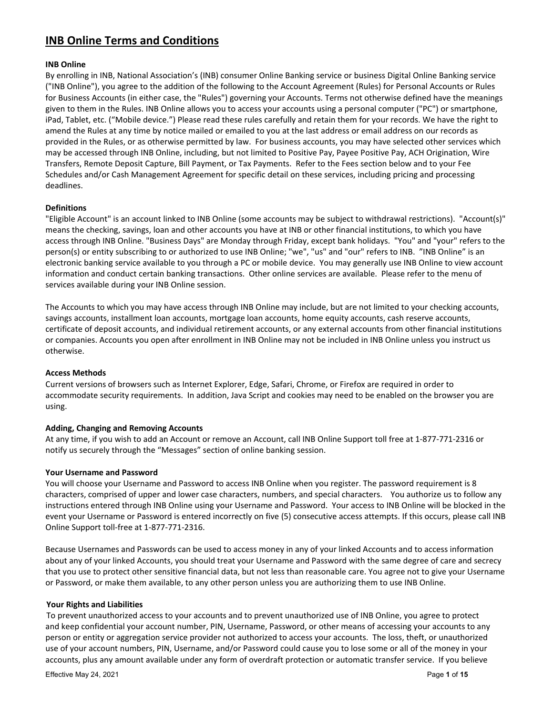# **INB Online Terms and Conditions**

### **INB Online**

By enrolling in INB, National Association's (INB) consumer Online Banking service or business Digital Online Banking service ("INB Online"), you agree to the addition of the following to the Account Agreement (Rules) for Personal Accounts or Rules for Business Accounts (in either case, the "Rules") governing your Accounts. Terms not otherwise defined have the meanings given to them in the Rules. INB Online allows you to access your accounts using a personal computer ("PC") or smartphone, iPad, Tablet, etc. ("Mobile device.") Please read these rules carefully and retain them for your records. We have the right to amend the Rules at any time by notice mailed or emailed to you at the last address or email address on our records as provided in the Rules, or as otherwise permitted by law. For business accounts, you may have selected other services which may be accessed through INB Online, including, but not limited to Positive Pay, Payee Positive Pay, ACH Origination, Wire Transfers, Remote Deposit Capture, Bill Payment, or Tax Payments. Refer to the Fees section below and to your Fee Schedules and/or Cash Management Agreement for specific detail on these services, including pricing and processing deadlines.

### **Definitions**

"Eligible Account" is an account linked to INB Online (some accounts may be subject to withdrawal restrictions). "Account(s)" means the checking, savings, loan and other accounts you have at INB or other financial institutions, to which you have access through INB Online. "Business Days" are Monday through Friday, except bank holidays. "You" and "your" refers to the person(s) or entity subscribing to or authorized to use INB Online; "we", "us" and "our" refers to INB. "INB Online" is an electronic banking service available to you through a PC or mobile device. You may generally use INB Online to view account information and conduct certain banking transactions. Other online services are available. Please refer to the menu of services available during your INB Online session.

The Accounts to which you may have access through INB Online may include, but are not limited to your checking accounts, savings accounts, installment loan accounts, mortgage loan accounts, home equity accounts, cash reserve accounts, certificate of deposit accounts, and individual retirement accounts, or any external accounts from other financial institutions or companies. Accounts you open after enrollment in INB Online may not be included in INB Online unless you instruct us otherwise.

### **Access Methods**

Current versions of browsers such as Internet Explorer, Edge, Safari, Chrome, or Firefox are required in order to accommodate security requirements. In addition, Java Script and cookies may need to be enabled on the browser you are using.

#### **Adding, Changing and Removing Accounts**

At any time, if you wish to add an Account or remove an Account, call INB Online Support toll free at 1‐877‐771‐2316 or notify us securely through the "Messages" section of online banking session.

#### **Your Username and Password**

You will choose your Username and Password to access INB Online when you register. The password requirement is 8 characters, comprised of upper and lower case characters, numbers, and special characters. You authorize us to follow any instructions entered through INB Online using your Username and Password. Your access to INB Online will be blocked in the event your Username or Password is entered incorrectly on five (5) consecutive access attempts. If this occurs, please call INB Online Support toll‐free at 1‐877‐771‐2316.

Because Usernames and Passwords can be used to access money in any of your linked Accounts and to access information about any of your linked Accounts, you should treat your Username and Password with the same degree of care and secrecy that you use to protect other sensitive financial data, but not less than reasonable care. You agree not to give your Username or Password, or make them available, to any other person unless you are authorizing them to use INB Online.

#### **Your Rights and Liabilities**

To prevent unauthorized access to your accounts and to prevent unauthorized use of INB Online, you agree to protect and keep confidential your account number, PIN, Username, Password, or other means of accessing your accounts to any person or entity or aggregation service provider not authorized to access your accounts. The loss, theft, or unauthorized use of your account numbers, PIN, Username, and/or Password could cause you to lose some or all of the money in your accounts, plus any amount available under any form of overdraft protection or automatic transfer service. If you believe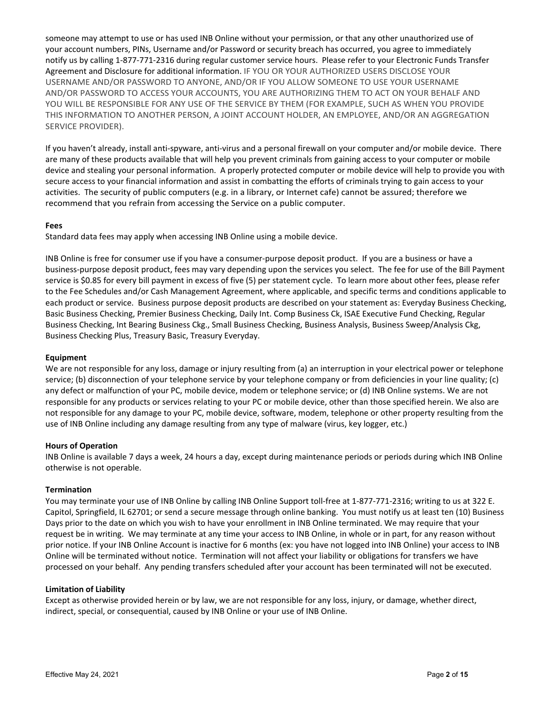someone may attempt to use or has used INB Online without your permission, or that any other unauthorized use of your account numbers, PINs, Username and/or Password or security breach has occurred, you agree to immediately notify us by calling 1‐877‐771‐2316 during regular customer service hours. Please refer to your Electronic Funds Transfer Agreement and Disclosure for additional information. IF YOU OR YOUR AUTHORIZED USERS DISCLOSE YOUR USERNAME AND/OR PASSWORD TO ANYONE, AND/OR IF YOU ALLOW SOMEONE TO USE YOUR USERNAME AND/OR PASSWORD TO ACCESS YOUR ACCOUNTS, YOU ARE AUTHORIZING THEM TO ACT ON YOUR BEHALF AND YOU WILL BE RESPONSIBLE FOR ANY USE OF THE SERVICE BY THEM (FOR EXAMPLE, SUCH AS WHEN YOU PROVIDE THIS INFORMATION TO ANOTHER PERSON, A JOINT ACCOUNT HOLDER, AN EMPLOYEE, AND/OR AN AGGREGATION SERVICE PROVIDER).

If you haven't already, install anti‐spyware, anti‐virus and a personal firewall on your computer and/or mobile device. There are many of these products available that will help you prevent criminals from gaining access to your computer or mobile device and stealing your personal information. A properly protected computer or mobile device will help to provide you with secure access to your financial information and assist in combatting the efforts of criminals trying to gain access to your activities. The security of public computers (e.g. in a library, or Internet cafe) cannot be assured; therefore we recommend that you refrain from accessing the Service on a public computer.

### **Fees**

Standard data fees may apply when accessing INB Online using a mobile device.

INB Online is free for consumer use if you have a consumer‐purpose deposit product. If you are a business or have a business‐purpose deposit product, fees may vary depending upon the services you select. The fee for use of the Bill Payment service is \$0.85 for every bill payment in excess of five (5) per statement cycle. To learn more about other fees, please refer to the Fee Schedules and/or Cash Management Agreement, where applicable, and specific terms and conditions applicable to each product or service. Business purpose deposit products are described on your statement as: Everyday Business Checking, Basic Business Checking, Premier Business Checking, Daily Int. Comp Business Ck, ISAE Executive Fund Checking, Regular Business Checking, Int Bearing Business Ckg., Small Business Checking, Business Analysis, Business Sweep/Analysis Ckg, Business Checking Plus, Treasury Basic, Treasury Everyday.

### **Equipment**

We are not responsible for any loss, damage or injury resulting from (a) an interruption in your electrical power or telephone service; (b) disconnection of your telephone service by your telephone company or from deficiencies in your line quality; (c) any defect or malfunction of your PC, mobile device, modem or telephone service; or (d) INB Online systems. We are not responsible for any products or services relating to your PC or mobile device, other than those specified herein. We also are not responsible for any damage to your PC, mobile device, software, modem, telephone or other property resulting from the use of INB Online including any damage resulting from any type of malware (virus, key logger, etc.)

### **Hours of Operation**

INB Online is available 7 days a week, 24 hours a day, except during maintenance periods or periods during which INB Online otherwise is not operable.

#### **Termination**

You may terminate your use of INB Online by calling INB Online Support toll-free at 1-877-771-2316; writing to us at 322 E. Capitol, Springfield, IL 62701; or send a secure message through online banking. You must notify us at least ten (10) Business Days prior to the date on which you wish to have your enrollment in INB Online terminated. We may require that your request be in writing. We may terminate at any time your access to INB Online, in whole or in part, for any reason without prior notice. If your INB Online Account is inactive for 6 months (ex: you have not logged into INB Online) your access to INB Online will be terminated without notice. Termination will not affect your liability or obligations for transfers we have processed on your behalf. Any pending transfers scheduled after your account has been terminated will not be executed.

#### **Limitation of Liability**

Except as otherwise provided herein or by law, we are not responsible for any loss, injury, or damage, whether direct, indirect, special, or consequential, caused by INB Online or your use of INB Online.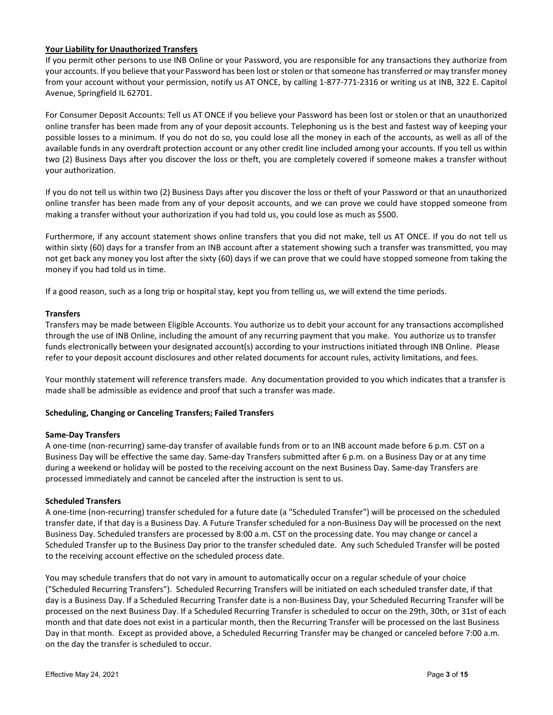### **Your Liability for Unauthorized Transfers**

If you permit other persons to use INB Online or your Password, you are responsible for any transactions they authorize from your accounts. If you believe that your Password has been lost orstolen orthatsomeone hastransferred or may transfer money from your account without your permission, notify us AT ONCE, by calling 1‐877‐771‐2316 or writing us at INB, 322 E. Capitol Avenue, Springfield IL 62701.

For Consumer Deposit Accounts: Tell us AT ONCE if you believe your Password has been lost or stolen or that an unauthorized online transfer has been made from any of your deposit accounts. Telephoning us is the best and fastest way of keeping your possible losses to a minimum. If you do not do so, you could lose all the money in each of the accounts, as well as all of the available funds in any overdraft protection account or any other credit line included among your accounts. If you tell us within two (2) Business Days after you discover the loss or theft, you are completely covered if someone makes a transfer without your authorization.

If you do not tell us within two (2) Business Days after you discover the loss or theft of your Password or that an unauthorized online transfer has been made from any of your deposit accounts, and we can prove we could have stopped someone from making a transfer without your authorization if you had told us, you could lose as much as \$500.

Furthermore, if any account statement shows online transfers that you did not make, tell us AT ONCE. If you do not tell us within sixty (60) days for a transfer from an INB account after a statement showing such a transfer was transmitted, you may not get back any money you lost after the sixty (60) days if we can prove that we could have stopped someone from taking the money if you had told us in time.

If a good reason, such as a long trip or hospital stay, kept you from telling us, we will extend the time periods.

#### **Transfers**

Transfers may be made between Eligible Accounts. You authorize us to debit your account for any transactions accomplished through the use of INB Online, including the amount of any recurring payment that you make. You authorize us to transfer funds electronically between your designated account(s) according to your instructions initiated through INB Online. Please refer to your deposit account disclosures and other related documents for account rules, activity limitations, and fees.

Your monthly statement will reference transfers made. Any documentation provided to you which indicates that a transfer is made shall be admissible as evidence and proof that such a transfer was made.

#### **Scheduling, Changing or Canceling Transfers; Failed Transfers**

#### **Same‐Day Transfers**

A one-time (non-recurring) same-day transfer of available funds from or to an INB account made before 6 p.m. CST on a Business Day will be effective the same day. Same‐day Transfers submitted after 6 p.m. on a Business Day or at any time during a weekend or holiday will be posted to the receiving account on the next Business Day. Same‐day Transfers are processed immediately and cannot be canceled after the instruction is sent to us.

### **Scheduled Transfers**

A one‐time (non‐recurring) transfer scheduled for a future date (a "Scheduled Transfer") will be processed on the scheduled transfer date, if that day is a Business Day. A Future Transfer scheduled for a non‐Business Day will be processed on the next Business Day. Scheduled transfers are processed by 8:00 a.m. CST on the processing date. You may change or cancel a Scheduled Transfer up to the Business Day prior to the transfer scheduled date. Any such Scheduled Transfer will be posted to the receiving account effective on the scheduled process date.

You may schedule transfers that do not vary in amount to automatically occur on a regular schedule of your choice ("Scheduled Recurring Transfers"). Scheduled Recurring Transfers will be initiated on each scheduled transfer date, if that day is a Business Day. If a Scheduled Recurring Transfer date is a non‐Business Day, your Scheduled Recurring Transfer will be processed on the next Business Day. If a Scheduled Recurring Transfer is scheduled to occur on the 29th, 30th, or 31st of each month and that date does not exist in a particular month, then the Recurring Transfer will be processed on the last Business Day in that month. Except as provided above, a Scheduled Recurring Transfer may be changed or canceled before 7:00 a.m. on the day the transfer is scheduled to occur.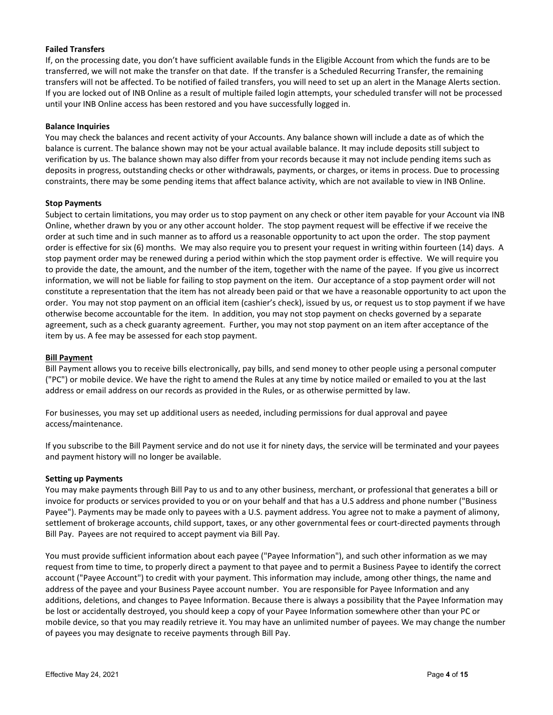# **Failed Transfers**

If, on the processing date, you don't have sufficient available funds in the Eligible Account from which the funds are to be transferred, we will not make the transfer on that date. If the transfer is a Scheduled Recurring Transfer, the remaining transfers will not be affected. To be notified of failed transfers, you will need to set up an alert in the Manage Alerts section. If you are locked out of INB Online as a result of multiple failed login attempts, your scheduled transfer will not be processed until your INB Online access has been restored and you have successfully logged in.

#### **Balance Inquiries**

You may check the balances and recent activity of your Accounts. Any balance shown will include a date as of which the balance is current. The balance shown may not be your actual available balance. It may include deposits still subject to verification by us. The balance shown may also differ from your records because it may not include pending items such as deposits in progress, outstanding checks or other withdrawals, payments, or charges, or items in process. Due to processing constraints, there may be some pending items that affect balance activity, which are not available to view in INB Online.

#### **Stop Payments**

Subject to certain limitations, you may order us to stop payment on any check or other item payable for your Account via INB Online, whether drawn by you or any other account holder. The stop payment request will be effective if we receive the order at such time and in such manner as to afford us a reasonable opportunity to act upon the order. The stop payment order is effective for six (6) months. We may also require you to present your request in writing within fourteen (14) days. A stop payment order may be renewed during a period within which the stop payment order is effective. We will require you to provide the date, the amount, and the number of the item, together with the name of the payee. If you give us incorrect information, we will not be liable for failing to stop payment on the item. Our acceptance of a stop payment order will not constitute a representation that the item has not already been paid or that we have a reasonable opportunity to act upon the order. You may not stop payment on an official item (cashier's check), issued by us, or request us to stop payment if we have otherwise become accountable for the item. In addition, you may not stop payment on checks governed by a separate agreement, such as a check guaranty agreement. Further, you may not stop payment on an item after acceptance of the item by us. A fee may be assessed for each stop payment.

#### **Bill Payment**

Bill Payment allows you to receive bills electronically, pay bills, and send money to other people using a personal computer ("PC") or mobile device. We have the right to amend the Rules at any time by notice mailed or emailed to you at the last address or email address on our records as provided in the Rules, or as otherwise permitted by law.

For businesses, you may set up additional users as needed, including permissions for dual approval and payee access/maintenance.

If you subscribe to the Bill Payment service and do not use it for ninety days, the service will be terminated and your payees and payment history will no longer be available.

#### **Setting up Payments**

You may make payments through Bill Pay to us and to any other business, merchant, or professional that generates a bill or invoice for products or services provided to you or on your behalf and that has a U.S address and phone number ("Business Payee"). Payments may be made only to payees with a U.S. payment address. You agree not to make a payment of alimony, settlement of brokerage accounts, child support, taxes, or any other governmental fees or court-directed payments through Bill Pay. Payees are not required to accept payment via Bill Pay.

You must provide sufficient information about each payee ("Payee Information"), and such other information as we may request from time to time, to properly direct a payment to that payee and to permit a Business Payee to identify the correct account ("Payee Account") to credit with your payment. This information may include, among other things, the name and address of the payee and your Business Payee account number. You are responsible for Payee Information and any additions, deletions, and changes to Payee Information. Because there is always a possibility that the Payee Information may be lost or accidentally destroyed, you should keep a copy of your Payee Information somewhere other than your PC or mobile device, so that you may readily retrieve it. You may have an unlimited number of payees. We may change the number of payees you may designate to receive payments through Bill Pay.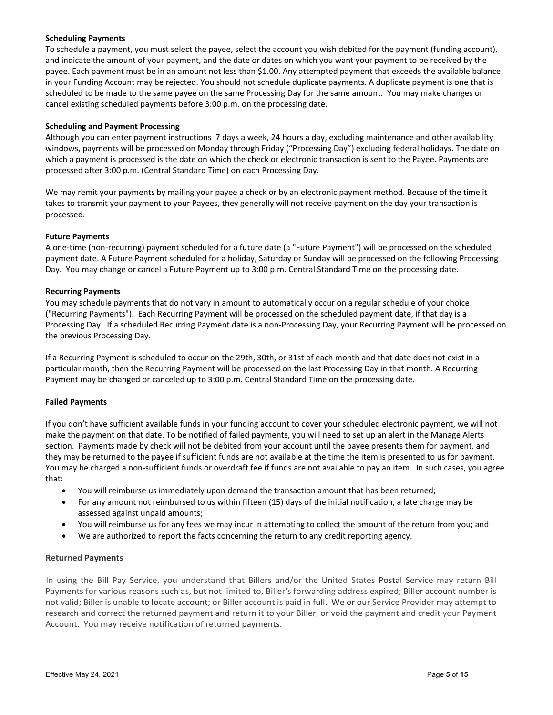### **Scheduling Payments**

To schedule a payment, you must select the payee, select the account you wish debited for the payment (funding account), and indicate the amount of your payment, and the date or dates on which you want your payment to be received by the payee. Each payment must be in an amount not less than \$1.00. Any attempted payment that exceeds the available balance in your Funding Account may be rejected. You should not schedule duplicate payments. A duplicate payment is one that is scheduled to be made to the same payee on the same Processing Day for the same amount. You may make changes or cancel existing scheduled payments before 3:00 p.m. on the processing date.

# **Scheduling and Payment Processing**

Although you can enter payment instructions 7 days a week, 24 hours a day, excluding maintenance and other availability windows, payments will be processed on Monday through Friday ("Processing Day") excluding federal holidays. The date on which a payment is processed is the date on which the check or electronic transaction is sent to the Payee. Payments are processed after 3:00 p.m. (Central Standard Time) on each Processing Day.

We may remit your payments by mailing your payee a check or by an electronic payment method. Because of the time it takes to transmit your payment to your Payees, they generally will not receive payment on the day your transaction is processed.

### **Future Payments**

A one‐time (non‐recurring) payment scheduled for a future date (a "Future Payment") will be processed on the scheduled payment date. A Future Payment scheduled for a holiday, Saturday or Sunday will be processed on the following Processing Day. You may change or cancel a Future Payment up to 3:00 p.m. Central Standard Time on the processing date.

#### **Recurring Payments**

You may schedule payments that do not vary in amount to automatically occur on a regular schedule of your choice ("Recurring Payments"). Each Recurring Payment will be processed on the scheduled payment date, if that day is a Processing Day. If a scheduled Recurring Payment date is a non‐Processing Day, your Recurring Payment will be processed on the previous Processing Day.

If a Recurring Payment is scheduled to occur on the 29th, 30th, or 31st of each month and that date does not exist in a particular month, then the Recurring Payment will be processed on the last Processing Day in that month. A Recurring Payment may be changed or canceled up to 3:00 p.m. Central Standard Time on the processing date.

# **Failed Payments**

If you don't have sufficient available funds in your funding account to cover your scheduled electronic payment, we will not make the payment on that date. To be notified of failed payments, you will need to set up an alert in the Manage Alerts section. Payments made by check will not be debited from your account until the payee presents them for payment, and they may be returned to the payee if sufficient funds are not available at the time the item is presented to us for payment. You may be charged a non‐sufficient funds or overdraft fee if funds are not available to pay an item. In such cases, you agree that:

- You will reimburse us immediately upon demand the transaction amount that has been returned;
- For any amount not reimbursed to us within fifteen (15) days of the initial notification, a late charge may be assessed against unpaid amounts;
- You will reimburse us for any fees we may incur in attempting to collect the amount of the return from you; and
- We are authorized to report the facts concerning the return to any credit reporting agency.

#### **Returned Payments**

In using the Bill Pay Service, you understand that Billers and/or the United States Postal Service may return Bill Payments for various reasons such as, but not limited to, Biller's forwarding address expired; Biller account number is not valid; Biller is unable to locate account; or Biller account is paid in full. We or our Service Provider may attempt to research and correct the returned payment and return it to your Biller, or void the payment and credit your Payment Account. You may receive notification of returned payments.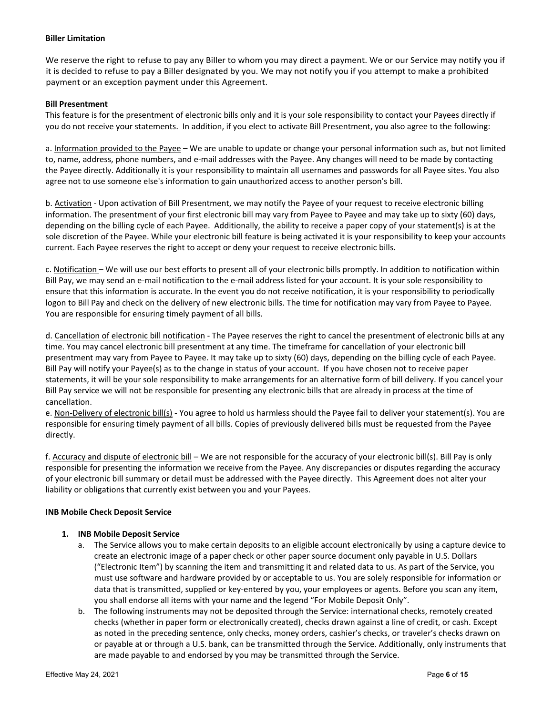#### **Biller Limitation**

We reserve the right to refuse to pay any Biller to whom you may direct a payment. We or our Service may notify you if it is decided to refuse to pay a Biller designated by you. We may not notify you if you attempt to make a prohibited payment or an exception payment under this Agreement.

### **Bill Presentment**

This feature is for the presentment of electronic bills only and it is your sole responsibility to contact your Payees directly if you do not receive your statements. In addition, if you elect to activate Bill Presentment, you also agree to the following:

a. Information provided to the Payee – We are unable to update or change your personal information such as, but not limited to, name, address, phone numbers, and e‐mail addresses with the Payee. Any changes will need to be made by contacting the Payee directly. Additionally it is your responsibility to maintain all usernames and passwords for all Payee sites. You also agree not to use someone else's information to gain unauthorized access to another person's bill.

b. Activation - Upon activation of Bill Presentment, we may notify the Payee of your request to receive electronic billing information. The presentment of your first electronic bill may vary from Payee to Payee and may take up to sixty (60) days, depending on the billing cycle of each Payee. Additionally, the ability to receive a paper copy of your statement(s) is at the sole discretion of the Payee. While your electronic bill feature is being activated it is your responsibility to keep your accounts current. Each Payee reserves the right to accept or deny your request to receive electronic bills.

c. Notification – We will use our best efforts to present all of your electronic bills promptly. In addition to notification within Bill Pay, we may send an e‐mail notification to the e‐mail address listed for your account. It is your sole responsibility to ensure that this information is accurate. In the event you do not receive notification, it is your responsibility to periodically logon to Bill Pay and check on the delivery of new electronic bills. The time for notification may vary from Payee to Payee. You are responsible for ensuring timely payment of all bills.

d. Cancellation of electronic bill notification ‐ The Payee reserves the right to cancel the presentment of electronic bills at any time. You may cancel electronic bill presentment at any time. The timeframe for cancellation of your electronic bill presentment may vary from Payee to Payee. It may take up to sixty (60) days, depending on the billing cycle of each Payee. Bill Pay will notify your Payee(s) as to the change in status of your account. If you have chosen not to receive paper statements, it will be your sole responsibility to make arrangements for an alternative form of bill delivery. If you cancel your Bill Pay service we will not be responsible for presenting any electronic bills that are already in process at the time of cancellation.

e. Non-Delivery of electronic bill(s) - You agree to hold us harmless should the Payee fail to deliver your statement(s). You are responsible for ensuring timely payment of all bills. Copies of previously delivered bills must be requested from the Payee directly.

f. Accuracy and dispute of electronic bill – We are not responsible for the accuracy of your electronic bill(s). Bill Pay is only responsible for presenting the information we receive from the Payee. Any discrepancies or disputes regarding the accuracy of your electronic bill summary or detail must be addressed with the Payee directly. This Agreement does not alter your liability or obligations that currently exist between you and your Payees.

#### **INB Mobile Check Deposit Service**

# **1. INB Mobile Deposit Service**

- a. The Service allows you to make certain deposits to an eligible account electronically by using a capture device to create an electronic image of a paper check or other paper source document only payable in U.S. Dollars ("Electronic Item") by scanning the item and transmitting it and related data to us. As part of the Service, you must use software and hardware provided by or acceptable to us. You are solely responsible for information or data that is transmitted, supplied or key‐entered by you, your employees or agents. Before you scan any item, you shall endorse all items with your name and the legend "For Mobile Deposit Only".
- b. The following instruments may not be deposited through the Service: international checks, remotely created checks (whether in paper form or electronically created), checks drawn against a line of credit, or cash. Except as noted in the preceding sentence, only checks, money orders, cashier's checks, or traveler's checks drawn on or payable at or through a U.S. bank, can be transmitted through the Service. Additionally, only instruments that are made payable to and endorsed by you may be transmitted through the Service.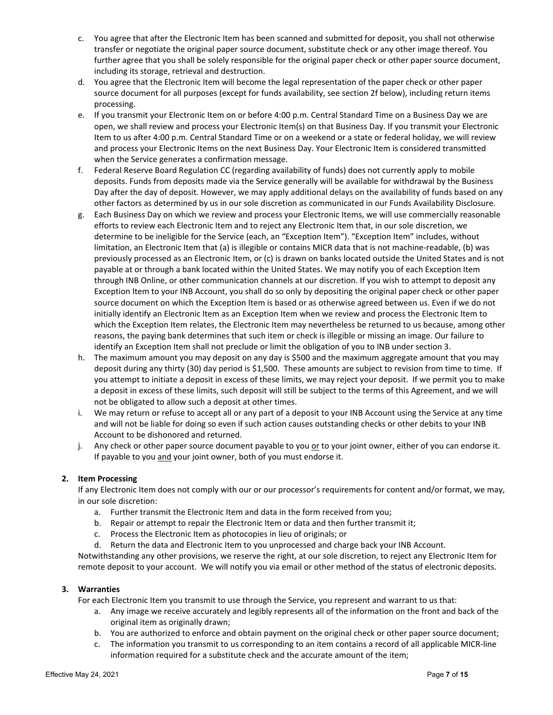- c. You agree that after the Electronic Item has been scanned and submitted for deposit, you shall not otherwise transfer or negotiate the original paper source document, substitute check or any other image thereof. You further agree that you shall be solely responsible for the original paper check or other paper source document, including its storage, retrieval and destruction.
- d. You agree that the Electronic Item will become the legal representation of the paper check or other paper source document for all purposes (except for funds availability, see section 2f below), including return items processing.
- e. If you transmit your Electronic Item on or before 4:00 p.m. Central Standard Time on a Business Day we are open, we shall review and process your Electronic Item(s) on that Business Day. If you transmit your Electronic Item to us after 4:00 p.m. Central Standard Time or on a weekend or a state or federal holiday, we will review and process your Electronic Items on the next Business Day. Your Electronic Item is considered transmitted when the Service generates a confirmation message.
- f. Federal Reserve Board Regulation CC (regarding availability of funds) does not currently apply to mobile deposits. Funds from deposits made via the Service generally will be available for withdrawal by the Business Day after the day of deposit. However, we may apply additional delays on the availability of funds based on any other factors as determined by us in our sole discretion as communicated in our Funds Availability Disclosure.
- g. Each Business Day on which we review and process your Electronic Items, we will use commercially reasonable efforts to review each Electronic Item and to reject any Electronic Item that, in our sole discretion, we determine to be ineligible for the Service (each, an "Exception Item"). "Exception Item" includes, without limitation, an Electronic Item that (a) is illegible or contains MICR data that is not machine‐readable, (b) was previously processed as an Electronic Item, or (c) is drawn on banks located outside the United States and is not payable at or through a bank located within the United States. We may notify you of each Exception Item through INB Online, or other communication channels at our discretion. If you wish to attempt to deposit any Exception Item to your INB Account, you shall do so only by depositing the original paper check or other paper source document on which the Exception Item is based or as otherwise agreed between us. Even if we do not initially identify an Electronic Item as an Exception Item when we review and process the Electronic Item to which the Exception Item relates, the Electronic Item may nevertheless be returned to us because, among other reasons, the paying bank determines that such item or check is illegible or missing an image. Our failure to identify an Exception Item shall not preclude or limit the obligation of you to INB under section 3.
- h. The maximum amount you may deposit on any day is \$500 and the maximum aggregate amount that you may deposit during any thirty (30) day period is \$1,500. These amounts are subject to revision from time to time. If you attempt to initiate a deposit in excess of these limits, we may reject your deposit. If we permit you to make a deposit in excess of these limits, such deposit will still be subject to the terms of this Agreement, and we will not be obligated to allow such a deposit at other times.
- i. We may return or refuse to accept all or any part of a deposit to your INB Account using the Service at any time and will not be liable for doing so even if such action causes outstanding checks or other debits to your INB Account to be dishonored and returned.
- j. Any check or other paper source document payable to you or to your joint owner, either of you can endorse it. If payable to you and your joint owner, both of you must endorse it.

# **2. Item Processing**

If any Electronic Item does not comply with our or our processor's requirements for content and/or format, we may, in our sole discretion:

- a. Further transmit the Electronic Item and data in the form received from you;
- b. Repair or attempt to repair the Electronic Item or data and then further transmit it;
- c. Process the Electronic Item as photocopies in lieu of originals; or
- d. Return the data and Electronic Item to you unprocessed and charge back your INB Account.

Notwithstanding any other provisions, we reserve the right, at our sole discretion, to reject any Electronic Item for remote deposit to your account. We will notify you via email or other method of the status of electronic deposits.

# **3. Warranties**

For each Electronic Item you transmit to use through the Service, you represent and warrant to us that:

- a. Any image we receive accurately and legibly represents all of the information on the front and back of the original item as originally drawn;
- b. You are authorized to enforce and obtain payment on the original check or other paper source document;
- c. The information you transmit to us corresponding to an item contains a record of all applicable MICR‐line information required for a substitute check and the accurate amount of the item;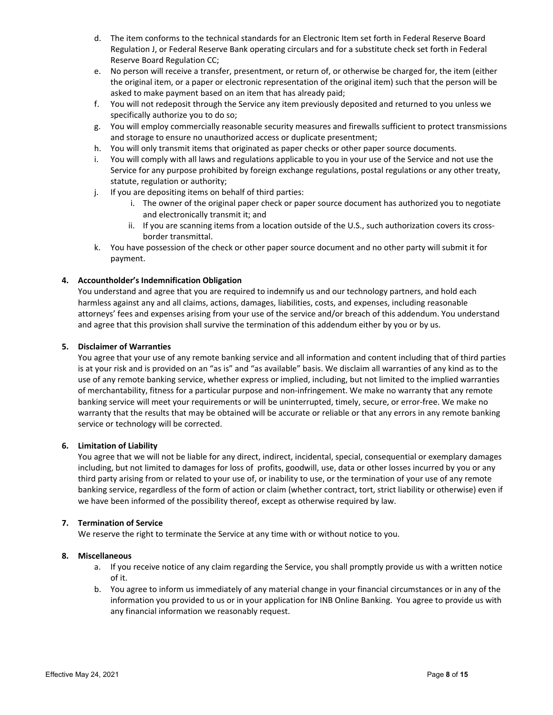- d. The item conforms to the technical standards for an Electronic Item set forth in Federal Reserve Board Regulation J, or Federal Reserve Bank operating circulars and for a substitute check set forth in Federal Reserve Board Regulation CC;
- e. No person will receive a transfer, presentment, or return of, or otherwise be charged for, the item (either the original item, or a paper or electronic representation of the original item) such that the person will be asked to make payment based on an item that has already paid;
- f. You will not redeposit through the Service any item previously deposited and returned to you unless we specifically authorize you to do so;
- g. You will employ commercially reasonable security measures and firewalls sufficient to protect transmissions and storage to ensure no unauthorized access or duplicate presentment;
- h. You will only transmit items that originated as paper checks or other paper source documents.
- i. You will comply with all laws and regulations applicable to you in your use of the Service and not use the Service for any purpose prohibited by foreign exchange regulations, postal regulations or any other treaty, statute, regulation or authority;
- j. If you are depositing items on behalf of third parties:
	- i. The owner of the original paper check or paper source document has authorized you to negotiate and electronically transmit it; and
	- ii. If you are scanning items from a location outside of the U.S., such authorization covers its crossborder transmittal.
- k. You have possession of the check or other paper source document and no other party will submit it for payment.

# **4. Accountholder's Indemnification Obligation**

You understand and agree that you are required to indemnify us and our technology partners, and hold each harmless against any and all claims, actions, damages, liabilities, costs, and expenses, including reasonable attorneys' fees and expenses arising from your use of the service and/or breach of this addendum. You understand and agree that this provision shall survive the termination of this addendum either by you or by us.

### **5. Disclaimer of Warranties**

You agree that your use of any remote banking service and all information and content including that of third parties is at your risk and is provided on an "as is" and "as available" basis. We disclaim all warranties of any kind as to the use of any remote banking service, whether express or implied, including, but not limited to the implied warranties of merchantability, fitness for a particular purpose and non‐infringement. We make no warranty that any remote banking service will meet your requirements or will be uninterrupted, timely, secure, or error‐free. We make no warranty that the results that may be obtained will be accurate or reliable or that any errors in any remote banking service or technology will be corrected.

# **6. Limitation of Liability**

You agree that we will not be liable for any direct, indirect, incidental, special, consequential or exemplary damages including, but not limited to damages for loss of profits, goodwill, use, data or other losses incurred by you or any third party arising from or related to your use of, or inability to use, or the termination of your use of any remote banking service, regardless of the form of action or claim (whether contract, tort, strict liability or otherwise) even if we have been informed of the possibility thereof, except as otherwise required by law.

# **7. Termination of Service**

We reserve the right to terminate the Service at any time with or without notice to you.

#### **8. Miscellaneous**

- a. If you receive notice of any claim regarding the Service, you shall promptly provide us with a written notice of it.
- b. You agree to inform us immediately of any material change in your financial circumstances or in any of the information you provided to us or in your application for INB Online Banking. You agree to provide us with any financial information we reasonably request.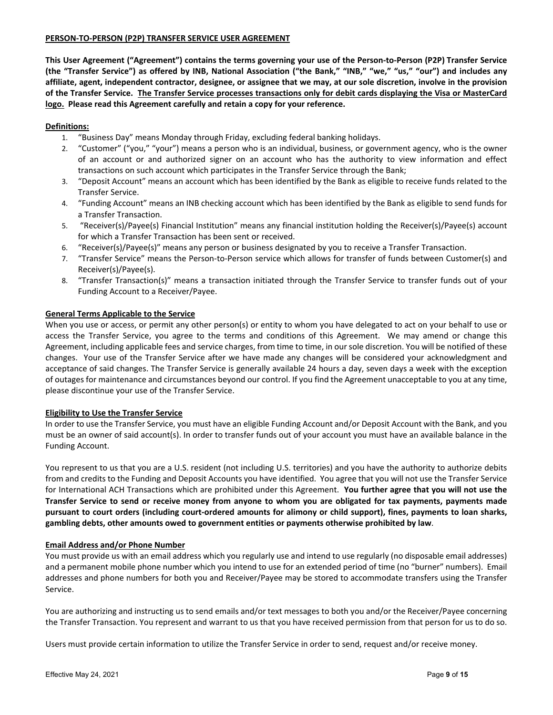### **PERSON‐TO‐PERSON (P2P) TRANSFER SERVICE USER AGREEMENT**

This User Agreement ("Agreement") contains the terms governing your use of the Person-to-Person (P2P) Transfer Service (the "Transfer Service") as offered by INB, National Association ("the Bank," "INB," "we," "us," "our") and includes any affiliate, agent, independent contractor, designee, or assignee that we may, at our sole discretion, involve in the provision of the Transfer Service. The Transfer Service processes transactions only for debit cards displaying the Visa or MasterCard **logo. Please read this Agreement carefully and retain a copy for your reference.**

# **Definitions:**

- 1. "Business Day" means Monday through Friday, excluding federal banking holidays.
- 2. "Customer" ("you," "your") means a person who is an individual, business, or government agency, who is the owner of an account or and authorized signer on an account who has the authority to view information and effect transactions on such account which participates in the Transfer Service through the Bank;
- 3. "Deposit Account" means an account which has been identified by the Bank as eligible to receive funds related to the Transfer Service.
- 4. "Funding Account" means an INB checking account which has been identified by the Bank as eligible to send funds for a Transfer Transaction.
- 5. "Receiver(s)/Payee(s) Financial Institution" means any financial institution holding the Receiver(s)/Payee(s) account for which a Transfer Transaction has been sent or received.
- 6. "Receiver(s)/Payee(s)" means any person or business designated by you to receive a Transfer Transaction.
- 7. "Transfer Service" means the Person-to-Person service which allows for transfer of funds between Customer(s) and Receiver(s)/Payee(s).
- 8. "Transfer Transaction(s)" means a transaction initiated through the Transfer Service to transfer funds out of your Funding Account to a Receiver/Payee.

# **General Terms Applicable to the Service**

When you use or access, or permit any other person(s) or entity to whom you have delegated to act on your behalf to use or access the Transfer Service, you agree to the terms and conditions of this Agreement. We may amend or change this Agreement, including applicable fees and service charges, from time to time, in our sole discretion. You will be notified of these changes. Your use of the Transfer Service after we have made any changes will be considered your acknowledgment and acceptance of said changes. The Transfer Service is generally available 24 hours a day, seven days a week with the exception of outages for maintenance and circumstances beyond our control. If you find the Agreement unacceptable to you at any time, please discontinue your use of the Transfer Service.

# **Eligibility to Use the Transfer Service**

In order to use the Transfer Service, you must have an eligible Funding Account and/or Deposit Account with the Bank, and you must be an owner of said account(s). In order to transfer funds out of your account you must have an available balance in the Funding Account.

You represent to us that you are a U.S. resident (not including U.S. territories) and you have the authority to authorize debits from and credits to the Funding and Deposit Accounts you have identified. You agree that you will not use the Transfer Service for International ACH Transactions which are prohibited under this Agreement. **You further agree that you will not use the** Transfer Service to send or receive money from anyone to whom you are obligated for tax payments, payments made pursuant to court orders (including court-ordered amounts for alimony or child support), fines, payments to loan sharks, **gambling debts, other amounts owed to government entities or payments otherwise prohibited by law**.

# **Email Address and/or Phone Number**

You must provide us with an email address which you regularly use and intend to use regularly (no disposable email addresses) and a permanent mobile phone number which you intend to use for an extended period of time (no "burner" numbers). Email addresses and phone numbers for both you and Receiver/Payee may be stored to accommodate transfers using the Transfer Service.

You are authorizing and instructing us to send emails and/or text messages to both you and/or the Receiver/Payee concerning the Transfer Transaction. You represent and warrant to us that you have received permission from that person for us to do so.

Users must provide certain information to utilize the Transfer Service in order to send, request and/or receive money.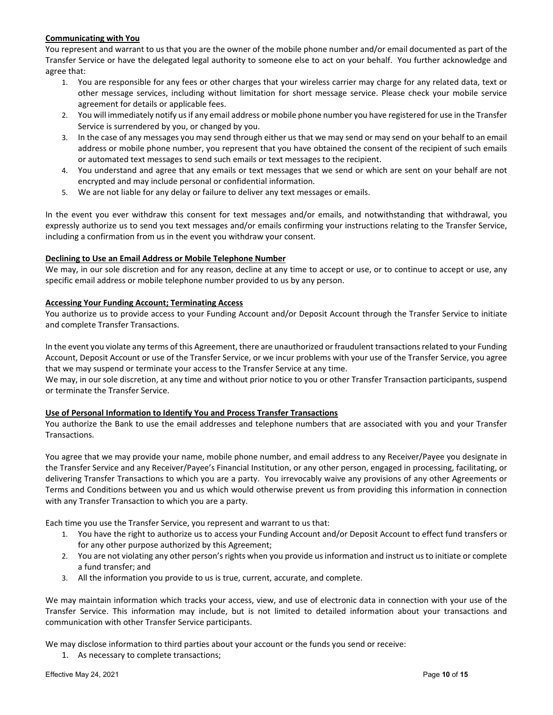# **Communicating with You**

You represent and warrant to us that you are the owner of the mobile phone number and/or email documented as part of the Transfer Service or have the delegated legal authority to someone else to act on your behalf. You further acknowledge and agree that:

- 1. You are responsible for any fees or other charges that your wireless carrier may charge for any related data, text or other message services, including without limitation for short message service. Please check your mobile service agreement for details or applicable fees.
- 2. You will immediately notify usif any email address or mobile phone number you have registered for use in the Transfer Service is surrendered by you, or changed by you.
- 3. In the case of any messages you may send through either us that we may send or may send on your behalf to an email address or mobile phone number, you represent that you have obtained the consent of the recipient of such emails or automated text messages to send such emails or text messages to the recipient.
- 4. You understand and agree that any emails or text messages that we send or which are sent on your behalf are not encrypted and may include personal or confidential information.
- 5. We are not liable for any delay or failure to deliver any text messages or emails.

In the event you ever withdraw this consent for text messages and/or emails, and notwithstanding that withdrawal, you expressly authorize us to send you text messages and/or emails confirming your instructions relating to the Transfer Service, including a confirmation from us in the event you withdraw your consent.

### **Declining to Use an Email Address or Mobile Telephone Number**

We may, in our sole discretion and for any reason, decline at any time to accept or use, or to continue to accept or use, any specific email address or mobile telephone number provided to us by any person.

# **Accessing Your Funding Account; Terminating Access**

You authorize us to provide access to your Funding Account and/or Deposit Account through the Transfer Service to initiate and complete Transfer Transactions.

In the event you violate any terms of this Agreement, there are unauthorized or fraudulent transactions related to your Funding Account, Deposit Account or use of the Transfer Service, or we incur problems with your use of the Transfer Service, you agree that we may suspend or terminate your access to the Transfer Service at any time.

We may, in our sole discretion, at any time and without prior notice to you or other Transfer Transaction participants, suspend or terminate the Transfer Service.

# **Use of Personal Information to Identify You and Process Transfer Transactions**

You authorize the Bank to use the email addresses and telephone numbers that are associated with you and your Transfer Transactions.

You agree that we may provide your name, mobile phone number, and email address to any Receiver/Payee you designate in the Transfer Service and any Receiver/Payee's Financial Institution, or any other person, engaged in processing, facilitating, or delivering Transfer Transactions to which you are a party. You irrevocably waive any provisions of any other Agreements or Terms and Conditions between you and us which would otherwise prevent us from providing this information in connection with any Transfer Transaction to which you are a party.

Each time you use the Transfer Service, you represent and warrant to us that:

- 1. You have the right to authorize us to access your Funding Account and/or Deposit Account to effect fund transfers or for any other purpose authorized by this Agreement;
- 2. You are not violating any other person's rights when you provide us information and instruct us to initiate or complete a fund transfer; and
- 3. All the information you provide to us is true, current, accurate, and complete.

We may maintain information which tracks your access, view, and use of electronic data in connection with your use of the Transfer Service. This information may include, but is not limited to detailed information about your transactions and communication with other Transfer Service participants.

We may disclose information to third parties about your account or the funds you send or receive:

1. As necessary to complete transactions;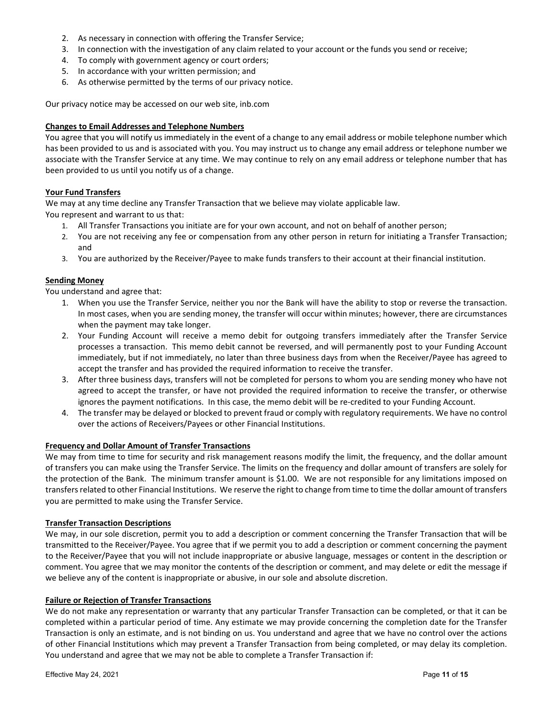- 2. As necessary in connection with offering the Transfer Service;
- 3. In connection with the investigation of any claim related to your account or the funds you send or receive;
- 4. To comply with government agency or court orders;
- 5. In accordance with your written permission; and
- 6. As otherwise permitted by the terms of our privacy notice.

Our privacy notice may be accessed on our web site, inb.com

# **Changes to Email Addresses and Telephone Numbers**

You agree that you will notify us immediately in the event of a change to any email address or mobile telephone number which has been provided to us and is associated with you. You may instruct us to change any email address or telephone number we associate with the Transfer Service at any time. We may continue to rely on any email address or telephone number that has been provided to us until you notify us of a change.

# **Your Fund Transfers**

We may at any time decline any Transfer Transaction that we believe may violate applicable law. You represent and warrant to us that:

- 1. All Transfer Transactions you initiate are for your own account, and not on behalf of another person;
- 2. You are not receiving any fee or compensation from any other person in return for initiating a Transfer Transaction; and
- 3. You are authorized by the Receiver/Payee to make funds transfers to their account at their financial institution.

# **Sending Money**

You understand and agree that:

- 1. When you use the Transfer Service, neither you nor the Bank will have the ability to stop or reverse the transaction. In most cases, when you are sending money, the transfer will occur within minutes; however, there are circumstances when the payment may take longer.
- 2. Your Funding Account will receive a memo debit for outgoing transfers immediately after the Transfer Service processes a transaction. This memo debit cannot be reversed, and will permanently post to your Funding Account immediately, but if not immediately, no later than three business days from when the Receiver/Payee has agreed to accept the transfer and has provided the required information to receive the transfer.
- 3. After three business days, transfers will not be completed for persons to whom you are sending money who have not agreed to accept the transfer, or have not provided the required information to receive the transfer, or otherwise ignores the payment notifications. In this case, the memo debit will be re-credited to your Funding Account.
- 4. The transfer may be delayed or blocked to prevent fraud or comply with regulatory requirements. We have no control over the actions of Receivers/Payees or other Financial Institutions.

# **Frequency and Dollar Amount of Transfer Transactions**

We may from time to time for security and risk management reasons modify the limit, the frequency, and the dollar amount of transfers you can make using the Transfer Service. The limits on the frequency and dollar amount of transfers are solely for the protection of the Bank. The minimum transfer amount is \$1.00. We are not responsible for any limitations imposed on transfers related to other Financial Institutions. We reserve the right to change from time to time the dollar amount of transfers you are permitted to make using the Transfer Service.

# **Transfer Transaction Descriptions**

We may, in our sole discretion, permit you to add a description or comment concerning the Transfer Transaction that will be transmitted to the Receiver/Payee. You agree that if we permit you to add a description or comment concerning the payment to the Receiver/Payee that you will not include inappropriate or abusive language, messages or content in the description or comment. You agree that we may monitor the contents of the description or comment, and may delete or edit the message if we believe any of the content is inappropriate or abusive, in our sole and absolute discretion.

# **Failure or Rejection of Transfer Transactions**

We do not make any representation or warranty that any particular Transfer Transaction can be completed, or that it can be completed within a particular period of time. Any estimate we may provide concerning the completion date for the Transfer Transaction is only an estimate, and is not binding on us. You understand and agree that we have no control over the actions of other Financial Institutions which may prevent a Transfer Transaction from being completed, or may delay its completion. You understand and agree that we may not be able to complete a Transfer Transaction if: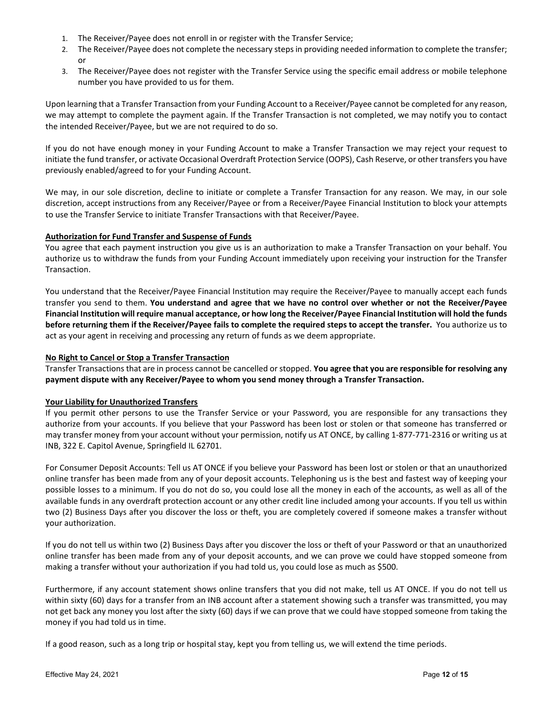- 1. The Receiver/Payee does not enroll in or register with the Transfer Service;
- 2. The Receiver/Payee does not complete the necessary stepsin providing needed information to complete the transfer; or
- 3. The Receiver/Payee does not register with the Transfer Service using the specific email address or mobile telephone number you have provided to us for them.

Upon learning that a Transfer Transaction from your Funding Account to a Receiver/Payee cannot be completed for any reason, we may attempt to complete the payment again. If the Transfer Transaction is not completed, we may notify you to contact the intended Receiver/Payee, but we are not required to do so.

If you do not have enough money in your Funding Account to make a Transfer Transaction we may reject your request to initiate the fund transfer, or activate Occasional Overdraft Protection Service (OOPS), Cash Reserve, or other transfers you have previously enabled/agreed to for your Funding Account.

We may, in our sole discretion, decline to initiate or complete a Transfer Transaction for any reason. We may, in our sole discretion, accept instructions from any Receiver/Payee or from a Receiver/Payee Financial Institution to block your attempts to use the Transfer Service to initiate Transfer Transactions with that Receiver/Payee.

### **Authorization for Fund Transfer and Suspense of Funds**

You agree that each payment instruction you give us is an authorization to make a Transfer Transaction on your behalf. You authorize us to withdraw the funds from your Funding Account immediately upon receiving your instruction for the Transfer Transaction.

You understand that the Receiver/Payee Financial Institution may require the Receiver/Payee to manually accept each funds transfer you send to them. **You understand and agree that we have no control over whether or not the Receiver/Payee** Financial Institution will require manual acceptance, or how long the Receiver/Payee Financial Institution will hold the funds before returning them if the Receiver/Payee fails to complete the required steps to accept the transfer. You authorize us to act as your agent in receiving and processing any return of funds as we deem appropriate.

### **No Right to Cancel or Stop a Transfer Transaction**

Transfer Transactionsthat are in process cannot be cancelled or stopped. **You agree that you are responsible for resolving any payment dispute with any Receiver/Payee to whom you send money through a Transfer Transaction.**

#### **Your Liability for Unauthorized Transfers**

If you permit other persons to use the Transfer Service or your Password, you are responsible for any transactions they authorize from your accounts. If you believe that your Password has been lost or stolen or that someone has transferred or may transfer money from your account without your permission, notify us AT ONCE, by calling 1‐877‐771‐2316 or writing us at INB, 322 E. Capitol Avenue, Springfield IL 62701.

For Consumer Deposit Accounts: Tell us AT ONCE if you believe your Password has been lost or stolen or that an unauthorized online transfer has been made from any of your deposit accounts. Telephoning us is the best and fastest way of keeping your possible losses to a minimum. If you do not do so, you could lose all the money in each of the accounts, as well as all of the available funds in any overdraft protection account or any other credit line included among your accounts. If you tell us within two (2) Business Days after you discover the loss or theft, you are completely covered if someone makes a transfer without your authorization.

If you do not tell us within two (2) Business Days after you discover the loss or theft of your Password or that an unauthorized online transfer has been made from any of your deposit accounts, and we can prove we could have stopped someone from making a transfer without your authorization if you had told us, you could lose as much as \$500.

Furthermore, if any account statement shows online transfers that you did not make, tell us AT ONCE. If you do not tell us within sixty (60) days for a transfer from an INB account after a statement showing such a transfer was transmitted, you may not get back any money you lost after the sixty (60) days if we can prove that we could have stopped someone from taking the money if you had told us in time.

If a good reason, such as a long trip or hospital stay, kept you from telling us, we will extend the time periods.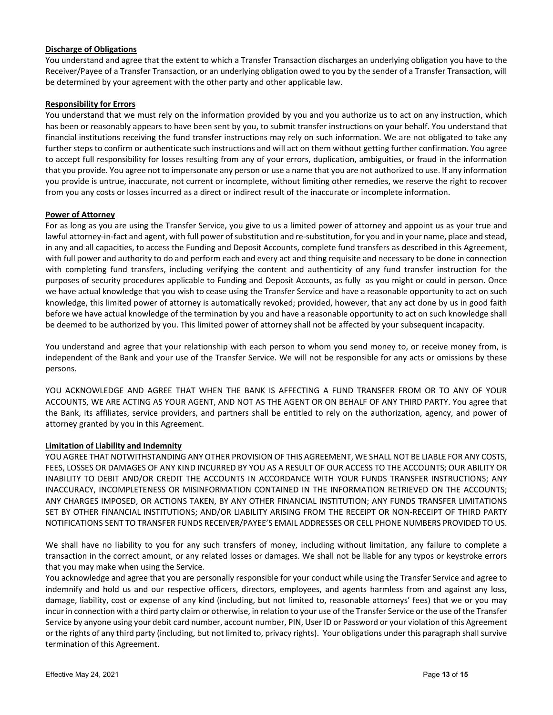### **Discharge of Obligations**

You understand and agree that the extent to which a Transfer Transaction discharges an underlying obligation you have to the Receiver/Payee of a Transfer Transaction, or an underlying obligation owed to you by the sender of a Transfer Transaction, will be determined by your agreement with the other party and other applicable law.

### **Responsibility for Errors**

You understand that we must rely on the information provided by you and you authorize us to act on any instruction, which has been or reasonably appears to have been sent by you, to submit transfer instructions on your behalf. You understand that financial institutions receiving the fund transfer instructions may rely on such information. We are not obligated to take any further steps to confirm or authenticate such instructions and will act on them without getting further confirmation. You agree to accept full responsibility for losses resulting from any of your errors, duplication, ambiguities, or fraud in the information that you provide. You agree not to impersonate any person or use a name that you are not authorized to use. If any information you provide is untrue, inaccurate, not current or incomplete, without limiting other remedies, we reserve the right to recover from you any costs or losses incurred as a direct or indirect result of the inaccurate or incomplete information.

### **Power of Attorney**

For as long as you are using the Transfer Service, you give to us a limited power of attorney and appoint us as your true and lawful attorney-in-fact and agent, with full power of substitution and re-substitution, for you and in your name, place and stead, in any and all capacities, to access the Funding and Deposit Accounts, complete fund transfers as described in this Agreement, with full power and authority to do and perform each and every act and thing requisite and necessary to be done in connection with completing fund transfers, including verifying the content and authenticity of any fund transfer instruction for the purposes of security procedures applicable to Funding and Deposit Accounts, as fully as you might or could in person. Once we have actual knowledge that you wish to cease using the Transfer Service and have a reasonable opportunity to act on such knowledge, this limited power of attorney is automatically revoked; provided, however, that any act done by us in good faith before we have actual knowledge of the termination by you and have a reasonable opportunity to act on such knowledge shall be deemed to be authorized by you. This limited power of attorney shall not be affected by your subsequent incapacity.

You understand and agree that your relationship with each person to whom you send money to, or receive money from, is independent of the Bank and your use of the Transfer Service. We will not be responsible for any acts or omissions by these persons.

YOU ACKNOWLEDGE AND AGREE THAT WHEN THE BANK IS AFFECTING A FUND TRANSFER FROM OR TO ANY OF YOUR ACCOUNTS, WE ARE ACTING AS YOUR AGENT, AND NOT AS THE AGENT OR ON BEHALF OF ANY THIRD PARTY. You agree that the Bank, its affiliates, service providers, and partners shall be entitled to rely on the authorization, agency, and power of attorney granted by you in this Agreement.

# **Limitation of Liability and Indemnity**

YOU AGREE THAT NOTWITHSTANDING ANY OTHER PROVISION OF THIS AGREEMENT, WE SHALL NOT BE LIABLE FOR ANY COSTS, FEES, LOSSES OR DAMAGES OF ANY KIND INCURRED BY YOU AS A RESULT OF OUR ACCESS TO THE ACCOUNTS; OUR ABILITY OR INABILITY TO DEBIT AND/OR CREDIT THE ACCOUNTS IN ACCORDANCE WITH YOUR FUNDS TRANSFER INSTRUCTIONS; ANY INACCURACY, INCOMPLETENESS OR MISINFORMATION CONTAINED IN THE INFORMATION RETRIEVED ON THE ACCOUNTS; ANY CHARGES IMPOSED, OR ACTIONS TAKEN, BY ANY OTHER FINANCIAL INSTITUTION; ANY FUNDS TRANSFER LIMITATIONS SET BY OTHER FINANCIAL INSTITUTIONS; AND/OR LIABILITY ARISING FROM THE RECEIPT OR NON‐RECEIPT OF THIRD PARTY NOTIFICATIONS SENT TO TRANSFER FUNDS RECEIVER/PAYEE'S EMAIL ADDRESSES OR CELL PHONE NUMBERS PROVIDED TO US.

We shall have no liability to you for any such transfers of money, including without limitation, any failure to complete a transaction in the correct amount, or any related losses or damages. We shall not be liable for any typos or keystroke errors that you may make when using the Service.

You acknowledge and agree that you are personally responsible for your conduct while using the Transfer Service and agree to indemnify and hold us and our respective officers, directors, employees, and agents harmless from and against any loss, damage, liability, cost or expense of any kind (including, but not limited to, reasonable attorneys' fees) that we or you may incur in connection with a third party claim or otherwise, in relation to your use of the Transfer Service or the use of the Transfer Service by anyone using your debit card number, account number, PIN, User ID or Password or your violation of this Agreement or the rights of any third party (including, but not limited to, privacy rights). Your obligations under this paragraph shall survive termination of this Agreement.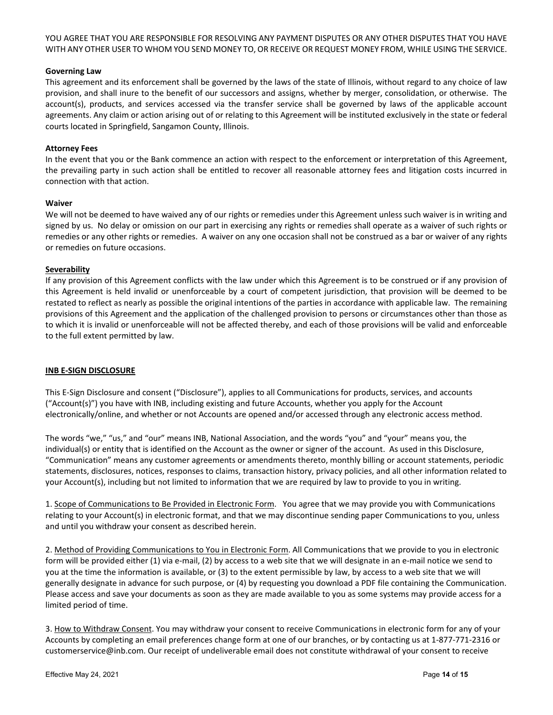YOU AGREE THAT YOU ARE RESPONSIBLE FOR RESOLVING ANY PAYMENT DISPUTES OR ANY OTHER DISPUTES THAT YOU HAVE WITH ANY OTHER USER TO WHOM YOU SEND MONEY TO, OR RECEIVE OR REQUEST MONEY FROM, WHILE USING THE SERVICE.

### **Governing Law**

This agreement and its enforcement shall be governed by the laws of the state of Illinois, without regard to any choice of law provision, and shall inure to the benefit of our successors and assigns, whether by merger, consolidation, or otherwise. The account(s), products, and services accessed via the transfer service shall be governed by laws of the applicable account agreements. Any claim or action arising out of or relating to this Agreement will be instituted exclusively in the state or federal courts located in Springfield, Sangamon County, Illinois.

### **Attorney Fees**

In the event that you or the Bank commence an action with respect to the enforcement or interpretation of this Agreement, the prevailing party in such action shall be entitled to recover all reasonable attorney fees and litigation costs incurred in connection with that action.

#### **Waiver**

We will not be deemed to have waived any of our rights or remedies under this Agreement unless such waiver is in writing and signed by us. No delay or omission on our part in exercising any rights or remedies shall operate as a waiver of such rights or remedies or any other rights or remedies. A waiver on any one occasion shall not be construed as a bar or waiver of any rights or remedies on future occasions.

### **Severability**

If any provision of this Agreement conflicts with the law under which this Agreement is to be construed or if any provision of this Agreement is held invalid or unenforceable by a court of competent jurisdiction, that provision will be deemed to be restated to reflect as nearly as possible the original intentions of the parties in accordance with applicable law. The remaining provisions of this Agreement and the application of the challenged provision to persons or circumstances other than those as to which it is invalid or unenforceable will not be affected thereby, and each of those provisions will be valid and enforceable to the full extent permitted by law.

# **INB E‐SIGN DISCLOSURE**

This E‐Sign Disclosure and consent ("Disclosure"), applies to all Communications for products, services, and accounts ("Account(s)") you have with INB, including existing and future Accounts, whether you apply for the Account electronically/online, and whether or not Accounts are opened and/or accessed through any electronic access method.

The words "we," "us," and "our" means INB, National Association, and the words "you" and "your" means you, the individual(s) or entity that is identified on the Account as the owner or signer of the account. As used in this Disclosure, "Communication" means any customer agreements or amendments thereto, monthly billing or account statements, periodic statements, disclosures, notices, responses to claims, transaction history, privacy policies, and all other information related to your Account(s), including but not limited to information that we are required by law to provide to you in writing.

1. Scope of Communications to Be Provided in Electronic Form. You agree that we may provide you with Communications relating to your Account(s) in electronic format, and that we may discontinue sending paper Communications to you, unless and until you withdraw your consent as described herein.

2. Method of Providing Communications to You in Electronic Form. All Communications that we provide to you in electronic form will be provided either (1) via e-mail, (2) by access to a web site that we will designate in an e-mail notice we send to you at the time the information is available, or (3) to the extent permissible by law, by access to a web site that we will generally designate in advance for such purpose, or (4) by requesting you download a PDF file containing the Communication. Please access and save your documents as soon as they are made available to you as some systems may provide access for a limited period of time.

3. How to Withdraw Consent. You may withdraw your consent to receive Communications in electronic form for any of your Accounts by completing an email preferences change form at one of our branches, or by contacting us at 1‐877‐771‐2316 or customerservice@inb.com. Our receipt of undeliverable email does not constitute withdrawal of your consent to receive